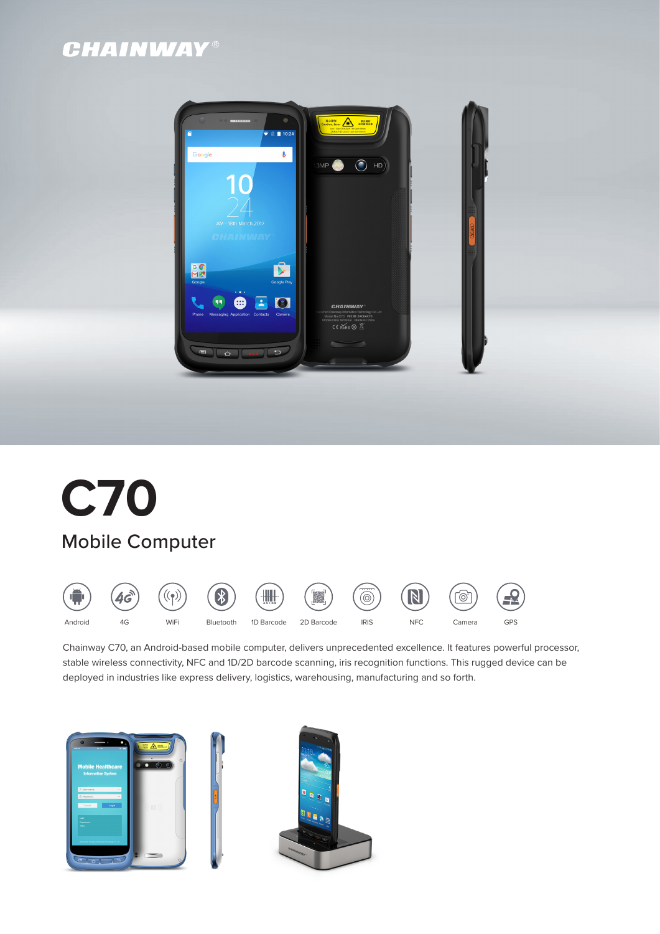# **CHAINWAY®**





Chainway C70, an Android-based mobile computer, delivers unprecedented excellence. It features powerful processor, stable wireless connectivity, NFC and 1D/2D barcode scanning, iris recognition functions. This rugged device can be deployed in industries like express delivery, logistics, warehousing, manufacturing and so forth.